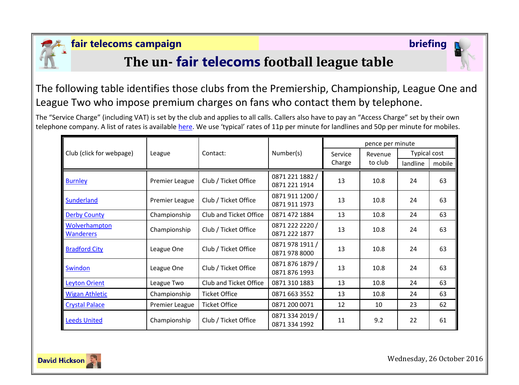

## **fair telecoms campaign briefing**

# **The un- fair telecoms football league table**

The following table identifies those clubs from the Premiership, Championship, League One and League Two who impose premium charges on fans who contact them by telephone.

The "Service Charge" (including VAT) is set by the club and applies to all calls. Callers also have to pay an "Access Charge" set by their own telephone company. A list of rates is available [here](http://www.saynoto0870.com/costofcalling.php). We use 'typical' rates of 11p per minute for landlines and 50p per minute for mobiles.

| Club (click for webpage)          | League         | Contact:               | Number(s)                        | pence per minute |         |              |        |
|-----------------------------------|----------------|------------------------|----------------------------------|------------------|---------|--------------|--------|
|                                   |                |                        |                                  | Service          | Revenue | Typical cost |        |
|                                   |                |                        |                                  | Charge           | to club | landline     | mobile |
| <b>Burnley</b>                    | Premier League | Club / Ticket Office   | 0871 221 1882 /<br>0871 221 1914 | 13               | 10.8    | 24           | 63     |
| Sunderland                        | Premier League | Club / Ticket Office   | 0871 911 1200 /<br>0871 911 1973 | 13               | 10.8    | 24           | 63     |
| <b>Derby County</b>               | Championship   | Club and Ticket Office | 0871 472 1884                    | 13               | 10.8    | 24           | 63     |
| Wolverhampton<br><b>Wanderers</b> | Championship   | Club / Ticket Office   | 0871 222 2220 /<br>0871 222 1877 | 13               | 10.8    | 24           | 63     |
| <b>Bradford City</b>              | League One     | Club / Ticket Office   | 0871 978 1911 /<br>0871 978 8000 | 13               | 10.8    | 24           | 63     |
| Swindon                           | League One     | Club / Ticket Office   | 0871 876 1879 /<br>0871 876 1993 | 13               | 10.8    | 24           | 63     |
| <b>Leyton Orient</b>              | League Two     | Club and Ticket Office | 0871 310 1883                    | 13               | 10.8    | 24           | 63     |
| <b>Wigan Athletic</b>             | Championship   | <b>Ticket Office</b>   | 0871 663 3552                    | 13               | 10.8    | 24           | 63     |
| <b>Crystal Palace</b>             | Premier League | <b>Ticket Office</b>   | 0871 200 0071                    | 12               | 10      | 23           | 62     |
| <b>Leeds United</b>               | Championship   | Club / Ticket Office   | 0871 334 2019 /<br>0871 334 1992 | 11               | 9.2     | 22           | 61     |



Wednesday, 26 October 2016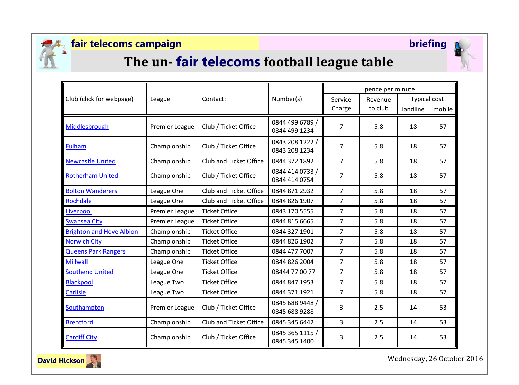

## **fair telecoms campaign briefing**



# **The un- fair telecoms football league table**

|                                 | League                | Contact:               | Number(s)                        | pence per minute |         |                     |        |
|---------------------------------|-----------------------|------------------------|----------------------------------|------------------|---------|---------------------|--------|
| Club (click for webpage)        |                       |                        |                                  | Service          | Revenue | <b>Typical cost</b> |        |
|                                 |                       |                        |                                  | Charge           | to club | landline            | mobile |
| Middlesbrough                   | <b>Premier League</b> | Club / Ticket Office   | 0844 499 6789 /<br>0844 499 1234 | 7                | 5.8     | 18                  | 57     |
| Fulham                          | Championship          | Club / Ticket Office   | 0843 208 1222 /<br>0843 208 1234 | $\overline{7}$   | 5.8     | 18                  | 57     |
| <b>Newcastle United</b>         | Championship          | Club and Ticket Office | 0844 372 1892                    | $\overline{7}$   | 5.8     | 18                  | 57     |
| <b>Rotherham United</b>         | Championship          | Club / Ticket Office   | 0844 414 0733 /<br>0844 414 0754 | 7                | 5.8     | 18                  | 57     |
| <b>Bolton Wanderers</b>         | League One            | Club and Ticket Office | 0844 871 2932                    | $\overline{7}$   | 5.8     | 18                  | 57     |
| Rochdale                        | League One            | Club and Ticket Office | 0844 826 1907                    | 7                | 5.8     | 18                  | 57     |
| Liverpool                       | Premier League        | <b>Ticket Office</b>   | 0843 170 5555                    | $\overline{7}$   | 5.8     | 18                  | 57     |
| <b>Swansea City</b>             | <b>Premier League</b> | <b>Ticket Office</b>   | 0844 815 6665                    | $\overline{7}$   | 5.8     | 18                  | 57     |
| <b>Brighton and Hove Albion</b> | Championship          | <b>Ticket Office</b>   | 0844 327 1901                    | $\overline{7}$   | 5.8     | 18                  | 57     |
| <b>Norwich City</b>             | Championship          | <b>Ticket Office</b>   | 0844 826 1902                    | $\overline{7}$   | 5.8     | 18                  | 57     |
| <b>Queens Park Rangers</b>      | Championship          | <b>Ticket Office</b>   | 0844 477 7007                    | $\overline{7}$   | 5.8     | 18                  | 57     |
| <b>Millwall</b>                 | League One            | <b>Ticket Office</b>   | 0844 826 2004                    | $\overline{7}$   | 5.8     | 18                  | 57     |
| <b>Southend United</b>          | League One            | <b>Ticket Office</b>   | 08444 77 00 77                   | $\overline{7}$   | 5.8     | 18                  | 57     |
| <b>Blackpool</b>                | League Two            | <b>Ticket Office</b>   | 0844 847 1953                    | $\overline{7}$   | 5.8     | 18                  | 57     |
| Carlisle                        | League Two            | <b>Ticket Office</b>   | 0844 371 1921                    | 7                | 5.8     | 18                  | 57     |
| Southampton                     | <b>Premier League</b> | Club / Ticket Office   | 0845 688 9448 /<br>0845 688 9288 | 3                | 2.5     | 14                  | 53     |
| <b>Brentford</b>                | Championship          | Club and Ticket Office | 0845 345 6442                    | 3                | 2.5     | 14                  | 53     |
| <b>Cardiff City</b>             | Championship          | Club / Ticket Office   | 0845 365 1115 /<br>0845 345 1400 | 3                | 2.5     | 14                  | 53     |



Wednesday, 26 October 2016